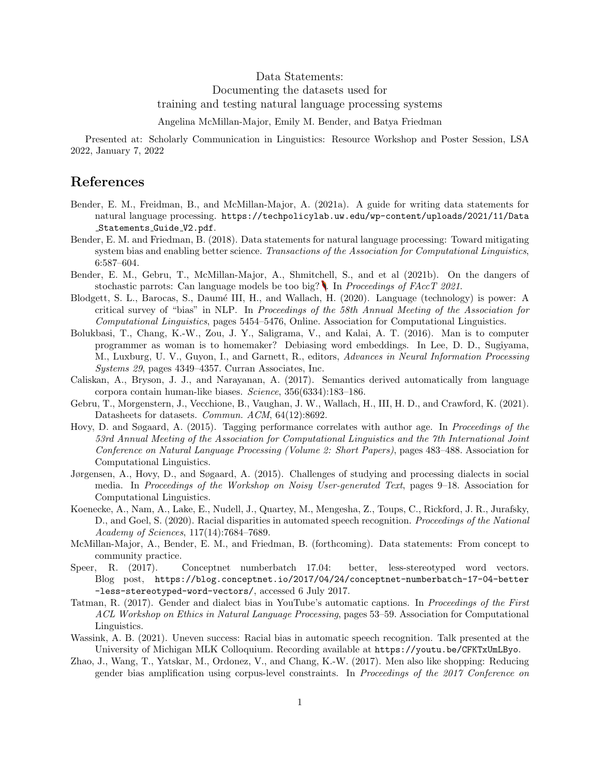Data Statements:

Documenting the datasets used for

training and testing natural language processing systems

Angelina McMillan-Major, Emily M. Bender, and Batya Friedman

Presented at: Scholarly Communication in Linguistics: Resource Workshop and Poster Session, LSA 2022, January 7, 2022

## References

- Bender, E. M., Freidman, B., and McMillan-Major, A. (2021a). A guide for writing data statements for natural language processing. https://techpolicylab.uw.edu/wp-content/uploads/2021/11/Data Statements Guide V2.pdf.
- Bender, E. M. and Friedman, B. (2018). Data statements for natural language processing: Toward mitigating system bias and enabling better science. Transactions of the Association for Computational Linguistics, 6:587–604.
- Bender, E. M., Gebru, T., McMillan-Major, A., Shmitchell, S., and et al (2021b). On the dangers of stochastic parrots: Can language models be too big? . In *Proceedings of FAccT 2021*.
- Blodgett, S. L., Barocas, S., Daum´e III, H., and Wallach, H. (2020). Language (technology) is power: A critical survey of "bias" in NLP. In Proceedings of the 58th Annual Meeting of the Association for Computational Linguistics, pages 5454–5476, Online. Association for Computational Linguistics.
- Bolukbasi, T., Chang, K.-W., Zou, J. Y., Saligrama, V., and Kalai, A. T. (2016). Man is to computer programmer as woman is to homemaker? Debiasing word embeddings. In Lee, D. D., Sugiyama, M., Luxburg, U. V., Guyon, I., and Garnett, R., editors, Advances in Neural Information Processing Systems 29, pages 4349–4357. Curran Associates, Inc.
- Caliskan, A., Bryson, J. J., and Narayanan, A. (2017). Semantics derived automatically from language corpora contain human-like biases. Science, 356(6334):183–186.
- Gebru, T., Morgenstern, J., Vecchione, B., Vaughan, J. W., Wallach, H., III, H. D., and Crawford, K. (2021). Datasheets for datasets. Commun. ACM, 64(12):8692.
- Hovy, D. and Søgaard, A. (2015). Tagging performance correlates with author age. In Proceedings of the 53rd Annual Meeting of the Association for Computational Linguistics and the 7th International Joint Conference on Natural Language Processing (Volume 2: Short Papers), pages 483–488. Association for Computational Linguistics.
- Jørgensen, A., Hovy, D., and Søgaard, A. (2015). Challenges of studying and processing dialects in social media. In Proceedings of the Workshop on Noisy User-generated Text, pages 9–18. Association for Computational Linguistics.
- Koenecke, A., Nam, A., Lake, E., Nudell, J., Quartey, M., Mengesha, Z., Toups, C., Rickford, J. R., Jurafsky, D., and Goel, S. (2020). Racial disparities in automated speech recognition. Proceedings of the National Academy of Sciences, 117(14):7684–7689.
- McMillan-Major, A., Bender, E. M., and Friedman, B. (forthcoming). Data statements: From concept to community practice.
- Speer, R. (2017). Conceptnet numberbatch 17.04: better, less-stereotyped word vectors. Blog post, https://blog.conceptnet.io/2017/04/24/conceptnet-numberbatch-17-04-better -less-stereotyped-word-vectors/, accessed 6 July 2017.
- Tatman, R. (2017). Gender and dialect bias in YouTube's automatic captions. In Proceedings of the First ACL Workshop on Ethics in Natural Language Processing, pages 53–59. Association for Computational Linguistics.
- Wassink, A. B. (2021). Uneven success: Racial bias in automatic speech recognition. Talk presented at the University of Michigan MLK Colloquium. Recording available at https://youtu.be/CFKTxUmLByo.
- Zhao, J., Wang, T., Yatskar, M., Ordonez, V., and Chang, K.-W. (2017). Men also like shopping: Reducing gender bias amplification using corpus-level constraints. In Proceedings of the 2017 Conference on